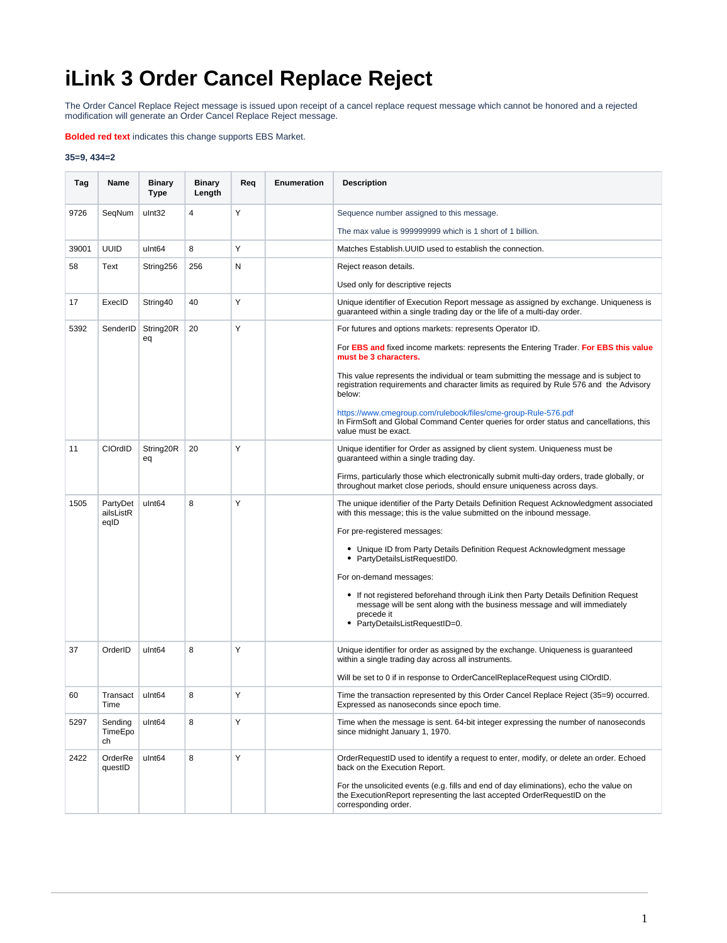## **iLink 3 Order Cancel Replace Reject**

The Order Cancel Replace Reject message is issued upon receipt of a cancel replace request message which cannot be honored and a rejected modification will generate an Order Cancel Replace Reject message.

**Bolded red text** indicates this change supports EBS Market.

## **35=9, 434=2**

| Tag   | Name                          | <b>Binary</b><br>Type | <b>Binary</b><br>Length | Req | Enumeration | <b>Description</b>                                                                                                                                                                         |
|-------|-------------------------------|-----------------------|-------------------------|-----|-------------|--------------------------------------------------------------------------------------------------------------------------------------------------------------------------------------------|
| 9726  | SeqNum                        | ulnt32                | 4                       | Υ   |             | Sequence number assigned to this message.                                                                                                                                                  |
|       |                               |                       |                         |     |             | The max value is 999999999 which is 1 short of 1 billion.                                                                                                                                  |
| 39001 | <b>UUID</b>                   | ulnt <sub>64</sub>    | 8                       | Y   |             | Matches Establish. UUID used to establish the connection.                                                                                                                                  |
| 58    | Text                          | String256             | 256                     | N   |             | Reject reason details.                                                                                                                                                                     |
|       |                               |                       |                         |     |             | Used only for descriptive rejects                                                                                                                                                          |
| 17    | ExecID                        | String40              | 40                      | Y   |             | Unique identifier of Execution Report message as assigned by exchange. Uniqueness is<br>guaranteed within a single trading day or the life of a multi-day order.                           |
| 5392  | SenderID                      | String20R<br>eq       | 20                      | Y   |             | For futures and options markets: represents Operator ID.                                                                                                                                   |
|       |                               |                       |                         |     |             | For <b>EBS and</b> fixed income markets: represents the Entering Trader. For EBS this value<br>must be 3 characters.                                                                       |
|       |                               |                       |                         |     |             | This value represents the individual or team submitting the message and is subject to<br>registration requirements and character limits as required by Rule 576 and the Advisory<br>below: |
|       |                               |                       |                         |     |             | https://www.cmegroup.com/rulebook/files/cme-group-Rule-576.pdf<br>In FirmSoft and Global Command Center queries for order status and cancellations, this<br>value must be exact.           |
| 11    | CIOrdID                       | String20R<br>eq       | 20                      | Y   |             | Unique identifier for Order as assigned by client system. Uniqueness must be<br>guaranteed within a single trading day.                                                                    |
|       |                               |                       |                         |     |             | Firms, particularly those which electronically submit multi-day orders, trade globally, or<br>throughout market close periods, should ensure uniqueness across days.                       |
| 1505  | PartyDet<br>ailsListR<br>eqID | ulnt <sub>64</sub>    | 8                       | Y   |             | The unique identifier of the Party Details Definition Request Acknowledgment associated<br>with this message; this is the value submitted on the inbound message.                          |
|       |                               |                       |                         |     |             | For pre-registered messages:                                                                                                                                                               |
|       |                               |                       |                         |     |             | • Unique ID from Party Details Definition Request Acknowledgment message<br>PartyDetailsListRequestID0.                                                                                    |
|       |                               |                       |                         |     |             | For on-demand messages:                                                                                                                                                                    |
|       |                               |                       |                         |     |             | • If not registered beforehand through iLink then Party Details Definition Request<br>message will be sent along with the business message and will immediately<br>precede it              |
|       |                               |                       |                         |     |             | • PartyDetailsListRequestID=0.                                                                                                                                                             |
| 37    | OrderID                       | ulnt <sub>64</sub>    | 8                       | Y   |             | Unique identifier for order as assigned by the exchange. Uniqueness is guaranteed<br>within a single trading day across all instruments.                                                   |
|       |                               |                       |                         |     |             | Will be set to 0 if in response to OrderCancelReplaceRequest using ClOrdID.                                                                                                                |
| 60    | Transact<br>Time              | ulnt <sub>64</sub>    | 8                       | Y   |             | Time the transaction represented by this Order Cancel Replace Reject (35=9) occurred.<br>Expressed as nanoseconds since epoch time.                                                        |
| 5297  | Sending<br>TimeEpo<br>ch      | ulnt <sub>64</sub>    | 8                       | Y   |             | Time when the message is sent. 64-bit integer expressing the number of nanoseconds<br>since midnight January 1, 1970.                                                                      |
| 2422  | OrderRe<br>questID            | ulnt <sub>64</sub>    | 8                       | Υ   |             | OrderRequestID used to identify a request to enter, modify, or delete an order. Echoed<br>back on the Execution Report.                                                                    |
|       |                               |                       |                         |     |             | For the unsolicited events (e.g. fills and end of day eliminations), echo the value on<br>the ExecutionReport representing the last accepted OrderRequestID on the<br>corresponding order. |